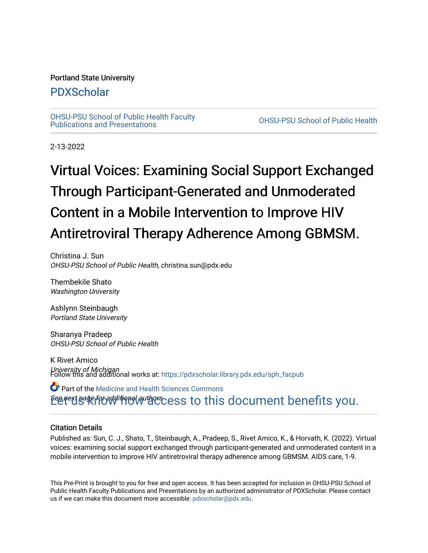#### Portland State University

### [PDXScholar](https://pdxscholar.library.pdx.edu/)

[OHSU-PSU School of Public Health Faculty](https://pdxscholar.library.pdx.edu/sph_facpub) [Publications and Presentations](https://pdxscholar.library.pdx.edu/sph_facpub) [OHSU-PSU School of Public Health](https://pdxscholar.library.pdx.edu/sph) 

2-13-2022

# Virtual Voices: Examining Social Support Exchanged Through Participant-Generated and Unmoderated Content in a Mobile Intervention to Improve HIV Antiretroviral Therapy Adherence Among GBMSM.

Christina J. Sun OHSU-PSU School of Public Health, christina.sun@pdx.edu

Thembekile Shato Washington University

Ashlynn Steinbaugh Portland State University

Sharanya Pradeep OHSU-PSU School of Public Health

K Rivet Amico *University of Michigan*<br>Follow this and additional works at: https://pdxscholar.library.pdx.edu/sph\_facpub

Betert Bate from the correct set of this document benefits you. Part of the [Medicine and Health Sciences Commons](http://network.bepress.com/hgg/discipline/648?utm_source=pdxscholar.library.pdx.edu%2Fsph_facpub%2F481&utm_medium=PDF&utm_campaign=PDFCoverPages) 

#### Citation Details

Published as: Sun, C. J., Shato, T., Steinbaugh, A., Pradeep, S., Rivet Amico, K., & Horvath, K. (2022). Virtual voices: examining social support exchanged through participant-generated and unmoderated content in a mobile intervention to improve HIV antiretroviral therapy adherence among GBMSM. AIDS care, 1-9.

This Pre-Print is brought to you for free and open access. It has been accepted for inclusion in OHSU-PSU School of Public Health Faculty Publications and Presentations by an authorized administrator of PDXScholar. Please contact us if we can make this document more accessible: [pdxscholar@pdx.edu.](mailto:pdxscholar@pdx.edu)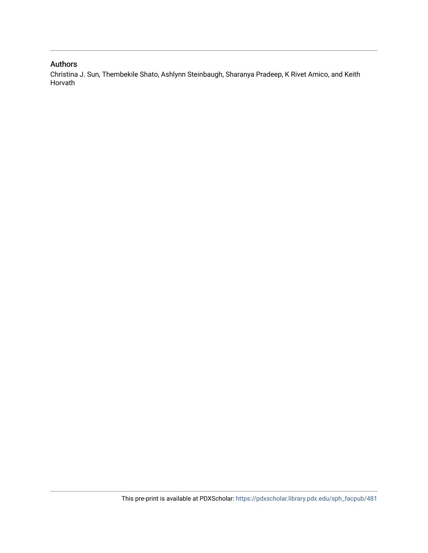#### Authors

Christina J. Sun, Thembekile Shato, Ashlynn Steinbaugh, Sharanya Pradeep, K Rivet Amico, and Keith Horvath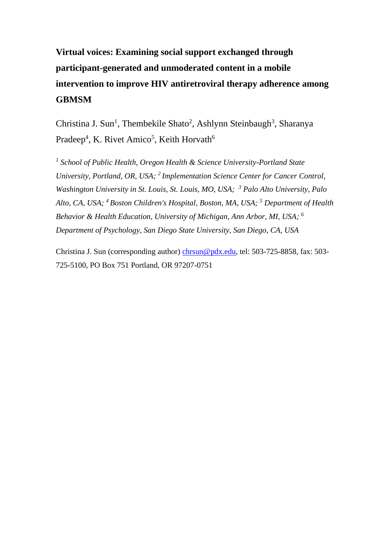## **Virtual voices: Examining social support exchanged through participant-generated and unmoderated content in a mobile intervention to improve HIV antiretroviral therapy adherence among GBMSM**

Christina J. Sun<sup>1</sup>, Thembekile Shato<sup>2</sup>, Ashlynn Steinbaugh<sup>3</sup>, Sharanya Pradeep<sup>4</sup>, K. Rivet Amico<sup>5</sup>, Keith Horvath<sup>6</sup>

<sup>1</sup> School of Public Health, Oregon Health & Science University-Portland State *University, Portland, OR, USA; <sup>2</sup> Implementation Science Center for Cancer Control, Washington University in St. Louis, St. Louis, MO, USA; <sup>3</sup> Palo Alto University, Palo Alto, CA, USA; <sup>4</sup> Boston Children's Hospital, Boston, MA, USA; <sup>5</sup> Department of Health Behavior & Health Education, University of Michigan, Ann Arbor, MI, USA; <sup>6</sup> Department of Psychology, San Diego State University, San Diego, CA, USA*

Christina J. Sun (corresponding author) [chrsun@pdx.edu,](mailto:chrsun@pdx.edu) tel: 503-725-8858, fax: 503- 725-5100, PO Box 751 Portland, OR 97207-0751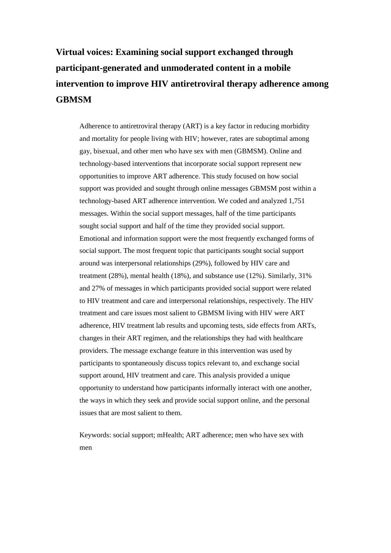## **Virtual voices: Examining social support exchanged through participant-generated and unmoderated content in a mobile intervention to improve HIV antiretroviral therapy adherence among GBMSM**

Adherence to antiretroviral therapy (ART) is a key factor in reducing morbidity and mortality for people living with HIV; however, rates are suboptimal among gay, bisexual, and other men who have sex with men (GBMSM). Online and technology-based interventions that incorporate social support represent new opportunities to improve ART adherence. This study focused on how social support was provided and sought through online messages GBMSM post within a technology-based ART adherence intervention. We coded and analyzed 1,751 messages. Within the social support messages, half of the time participants sought social support and half of the time they provided social support. Emotional and information support were the most frequently exchanged forms of social support. The most frequent topic that participants sought social support around was interpersonal relationships (29%), followed by HIV care and treatment (28%), mental health (18%), and substance use (12%). Similarly, 31% and 27% of messages in which participants provided social support were related to HIV treatment and care and interpersonal relationships, respectively. The HIV treatment and care issues most salient to GBMSM living with HIV were ART adherence, HIV treatment lab results and upcoming tests, side effects from ARTs, changes in their ART regimen, and the relationships they had with healthcare providers. The message exchange feature in this intervention was used by participants to spontaneously discuss topics relevant to, and exchange social support around, HIV treatment and care. This analysis provided a unique opportunity to understand how participants informally interact with one another, the ways in which they seek and provide social support online, and the personal issues that are most salient to them.

Keywords: social support; mHealth; ART adherence; men who have sex with men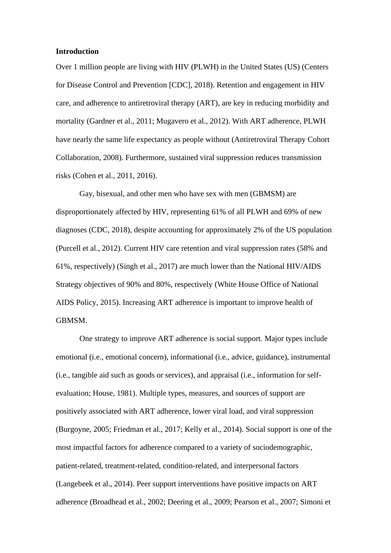#### **Introduction**

Over 1 million people are living with HIV (PLWH) in the United States (US) (Centers for Disease Control and Prevention [CDC], 2018). Retention and engagement in HIV care, and adherence to antiretroviral therapy (ART), are key in reducing morbidity and mortality (Gardner et al., 2011; Mugavero et al., 2012). With ART adherence, PLWH have nearly the same life expectancy as people without (Antiretroviral Therapy Cohort Collaboration, 2008). Furthermore, sustained viral suppression reduces transmission risks (Cohen et al., 2011, 2016).

Gay, bisexual, and other men who have sex with men (GBMSM) are disproportionately affected by HIV, representing 61% of all PLWH and 69% of new diagnoses (CDC, 2018), despite accounting for approximately 2% of the US population (Purcell et al., 2012). Current HIV care retention and viral suppression rates (58% and 61%, respectively) (Singh et al., 2017) are much lower than the National HIV/AIDS Strategy objectives of 90% and 80%, respectively (White House Office of National AIDS Policy, 2015). Increasing ART adherence is important to improve health of GBMSM.

One strategy to improve ART adherence is social support. Major types include emotional (i.e., emotional concern), informational (i.e., advice, guidance), instrumental (i.e., tangible aid such as goods or services), and appraisal (i.e., information for selfevaluation; House, 1981). Multiple types, measures, and sources of support are positively associated with ART adherence, lower viral load, and viral suppression (Burgoyne, 2005; Friedman et al., 2017; Kelly et al., 2014). Social support is one of the most impactful factors for adherence compared to a variety of sociodemographic, patient-related, treatment-related, condition-related, and interpersonal factors (Langebeek et al., 2014). Peer support interventions have positive impacts on ART adherence (Broadhead et al., 2002; Deering et al., 2009; Pearson et al., 2007; Simoni et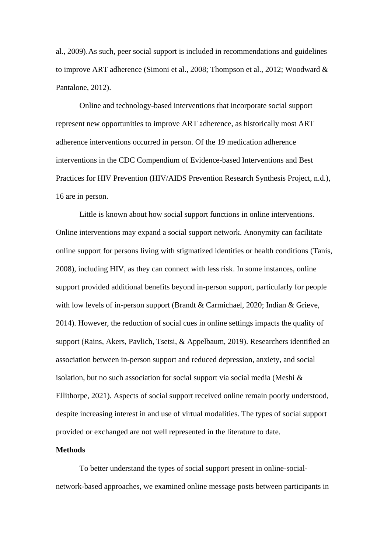al., 2009). As such, peer social support is included in recommendations and guidelines to improve ART adherence (Simoni et al., 2008; Thompson et al., 2012; Woodward & Pantalone, 2012).

Online and technology-based interventions that incorporate social support represent new opportunities to improve ART adherence, as historically most ART adherence interventions occurred in person. Of the 19 medication adherence interventions in the CDC Compendium of Evidence-based Interventions and Best Practices for HIV Prevention (HIV/AIDS Prevention Research Synthesis Project, n.d.), 16 are in person.

Little is known about how social support functions in online interventions. Online interventions may expand a social support network. Anonymity can facilitate online support for persons living with stigmatized identities or health conditions (Tanis, 2008), including HIV, as they can connect with less risk. In some instances, online support provided additional benefits beyond in-person support, particularly for people with low levels of in-person support (Brandt & Carmichael, 2020; Indian & Grieve, 2014). However, the reduction of social cues in online settings impacts the quality of support (Rains, Akers, Pavlich, Tsetsi, & Appelbaum, 2019). Researchers identified an association between in-person support and reduced depression, anxiety, and social isolation, but no such association for social support via social media (Meshi & Ellithorpe, 2021). Aspects of social support received online remain poorly understood, despite increasing interest in and use of virtual modalities. The types of social support provided or exchanged are not well represented in the literature to date.

#### **Methods**

To better understand the types of social support present in online-socialnetwork-based approaches, we examined online message posts between participants in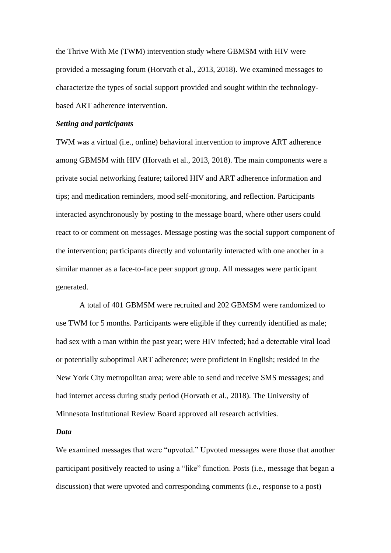the Thrive With Me (TWM) intervention study where GBMSM with HIV were provided a messaging forum (Horvath et al., 2013, 2018). We examined messages to characterize the types of social support provided and sought within the technologybased ART adherence intervention.

#### *Setting and participants*

TWM was a virtual (i.e., online) behavioral intervention to improve ART adherence among GBMSM with HIV (Horvath et al., 2013, 2018). The main components were a private social networking feature; tailored HIV and ART adherence information and tips; and medication reminders, mood self-monitoring, and reflection. Participants interacted asynchronously by posting to the message board, where other users could react to or comment on messages. Message posting was the social support component of the intervention; participants directly and voluntarily interacted with one another in a similar manner as a face-to-face peer support group. All messages were participant generated.

A total of 401 GBMSM were recruited and 202 GBMSM were randomized to use TWM for 5 months. Participants were eligible if they currently identified as male; had sex with a man within the past year; were HIV infected; had a detectable viral load or potentially suboptimal ART adherence; were proficient in English; resided in the New York City metropolitan area; were able to send and receive SMS messages; and had internet access during study period (Horvath et al., 2018). The University of Minnesota Institutional Review Board approved all research activities.

#### *Data*

We examined messages that were "upvoted." Upvoted messages were those that another participant positively reacted to using a "like" function. Posts (i.e., message that began a discussion) that were upvoted and corresponding comments (i.e., response to a post)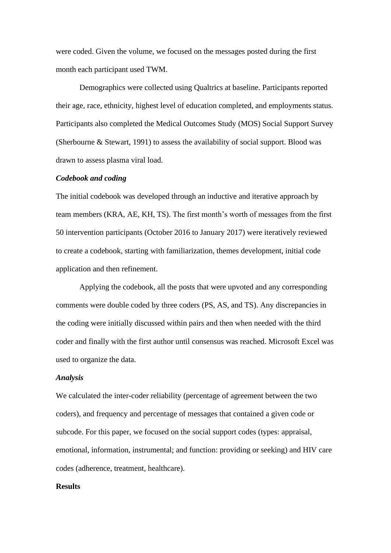were coded. Given the volume, we focused on the messages posted during the first month each participant used TWM.

Demographics were collected using Qualtrics at baseline. Participants reported their age, race, ethnicity, highest level of education completed, and employments status. Participants also completed the Medical Outcomes Study (MOS) Social Support Survey (Sherbourne & Stewart, 1991) to assess the availability of social support. Blood was drawn to assess plasma viral load.

#### *Codebook and coding*

The initial codebook was developed through an inductive and iterative approach by team members (KRA, AE, KH, TS). The first month's worth of messages from the first 50 intervention participants (October 2016 to January 2017) were iteratively reviewed to create a codebook, starting with familiarization, themes development, initial code application and then refinement.

Applying the codebook, all the posts that were upvoted and any corresponding comments were double coded by three coders (PS, AS, and TS). Any discrepancies in the coding were initially discussed within pairs and then when needed with the third coder and finally with the first author until consensus was reached. Microsoft Excel was used to organize the data.

#### *Analysis*

We calculated the inter-coder reliability (percentage of agreement between the two coders), and frequency and percentage of messages that contained a given code or subcode. For this paper, we focused on the social support codes (types: appraisal, emotional, information, instrumental; and function: providing or seeking) and HIV care codes (adherence, treatment, healthcare).

#### **Results**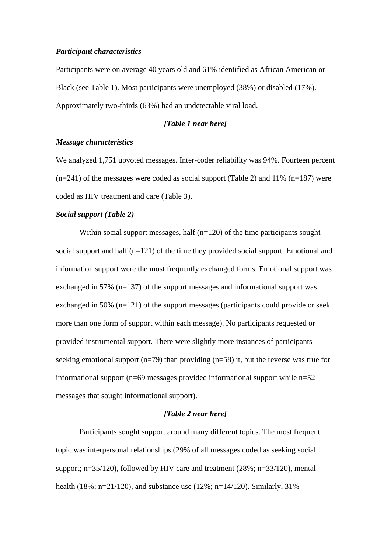#### *Participant characteristics*

Participants were on average 40 years old and 61% identified as African American or Black (see Table 1). Most participants were unemployed (38%) or disabled (17%). Approximately two-thirds (63%) had an undetectable viral load.

#### *[Table 1 near here]*

#### *Message characteristics*

We analyzed 1,751 upvoted messages. Inter-coder reliability was 94%. Fourteen percent  $(n=241)$  of the messages were coded as social support (Table 2) and 11%  $(n=187)$  were coded as HIV treatment and care (Table 3).

#### *Social support (Table 2)*

Within social support messages, half  $(n=120)$  of the time participants sought social support and half (n=121) of the time they provided social support. Emotional and information support were the most frequently exchanged forms. Emotional support was exchanged in 57% (n=137) of the support messages and informational support was exchanged in 50% (n=121) of the support messages (participants could provide or seek more than one form of support within each message). No participants requested or provided instrumental support. There were slightly more instances of participants seeking emotional support ( $n=79$ ) than providing ( $n=58$ ) it, but the reverse was true for informational support ( $n=69$  messages provided informational support while  $n=52$ messages that sought informational support).

#### *[Table 2 near here]*

Participants sought support around many different topics. The most frequent topic was interpersonal relationships (29% of all messages coded as seeking social support; n=35/120), followed by HIV care and treatment (28%; n=33/120), mental health (18%; n=21/120), and substance use (12%; n=14/120). Similarly, 31%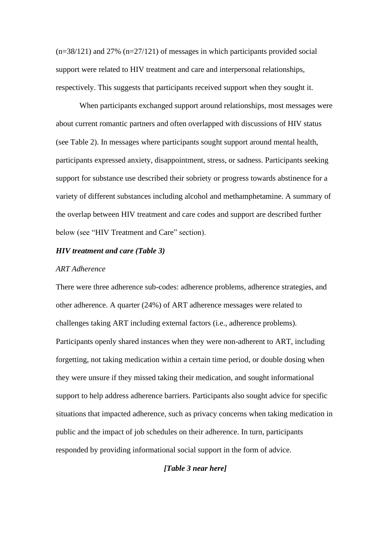$(n=38/121)$  and 27%  $(n=27/121)$  of messages in which participants provided social support were related to HIV treatment and care and interpersonal relationships, respectively. This suggests that participants received support when they sought it.

When participants exchanged support around relationships, most messages were about current romantic partners and often overlapped with discussions of HIV status (see Table 2). In messages where participants sought support around mental health, participants expressed anxiety, disappointment, stress, or sadness. Participants seeking support for substance use described their sobriety or progress towards abstinence for a variety of different substances including alcohol and methamphetamine. A summary of the overlap between HIV treatment and care codes and support are described further below (see "HIV Treatment and Care" section).

#### *HIV treatment and care (Table 3)*

#### *ART Adherence*

There were three adherence sub-codes: adherence problems, adherence strategies, and other adherence. A quarter (24%) of ART adherence messages were related to challenges taking ART including external factors (i.e., adherence problems). Participants openly shared instances when they were non-adherent to ART, including forgetting, not taking medication within a certain time period, or double dosing when they were unsure if they missed taking their medication, and sought informational support to help address adherence barriers. Participants also sought advice for specific situations that impacted adherence, such as privacy concerns when taking medication in public and the impact of job schedules on their adherence. In turn, participants responded by providing informational social support in the form of advice.

#### *[Table 3 near here]*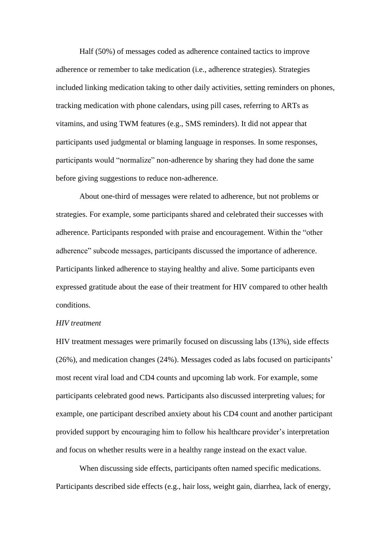Half (50%) of messages coded as adherence contained tactics to improve adherence or remember to take medication (i.e., adherence strategies). Strategies included linking medication taking to other daily activities, setting reminders on phones, tracking medication with phone calendars, using pill cases, referring to ARTs as vitamins, and using TWM features (e.g., SMS reminders). It did not appear that participants used judgmental or blaming language in responses. In some responses, participants would "normalize" non-adherence by sharing they had done the same before giving suggestions to reduce non-adherence.

About one-third of messages were related to adherence, but not problems or strategies. For example, some participants shared and celebrated their successes with adherence. Participants responded with praise and encouragement. Within the "other adherence" subcode messages, participants discussed the importance of adherence. Participants linked adherence to staying healthy and alive. Some participants even expressed gratitude about the ease of their treatment for HIV compared to other health conditions.

#### *HIV treatment*

HIV treatment messages were primarily focused on discussing labs (13%), side effects (26%), and medication changes (24%). Messages coded as labs focused on participants' most recent viral load and CD4 counts and upcoming lab work. For example, some participants celebrated good news. Participants also discussed interpreting values; for example, one participant described anxiety about his CD4 count and another participant provided support by encouraging him to follow his healthcare provider's interpretation and focus on whether results were in a healthy range instead on the exact value.

When discussing side effects, participants often named specific medications. Participants described side effects (e.g., hair loss, weight gain, diarrhea, lack of energy,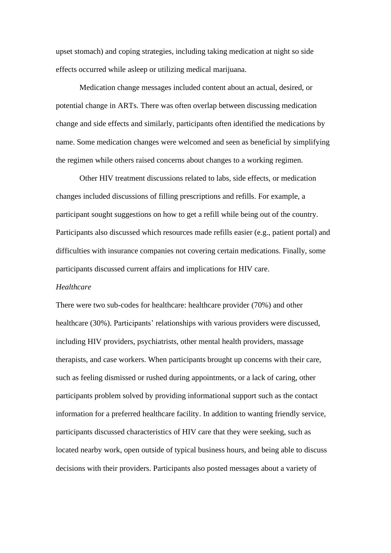upset stomach) and coping strategies, including taking medication at night so side effects occurred while asleep or utilizing medical marijuana.

Medication change messages included content about an actual, desired, or potential change in ARTs. There was often overlap between discussing medication change and side effects and similarly, participants often identified the medications by name. Some medication changes were welcomed and seen as beneficial by simplifying the regimen while others raised concerns about changes to a working regimen.

Other HIV treatment discussions related to labs, side effects, or medication changes included discussions of filling prescriptions and refills. For example, a participant sought suggestions on how to get a refill while being out of the country. Participants also discussed which resources made refills easier (e.g., patient portal) and difficulties with insurance companies not covering certain medications. Finally, some participants discussed current affairs and implications for HIV care.

#### *Healthcare*

There were two sub-codes for healthcare: healthcare provider (70%) and other healthcare (30%). Participants' relationships with various providers were discussed, including HIV providers, psychiatrists, other mental health providers, massage therapists, and case workers. When participants brought up concerns with their care, such as feeling dismissed or rushed during appointments, or a lack of caring, other participants problem solved by providing informational support such as the contact information for a preferred healthcare facility. In addition to wanting friendly service, participants discussed characteristics of HIV care that they were seeking, such as located nearby work, open outside of typical business hours, and being able to discuss decisions with their providers. Participants also posted messages about a variety of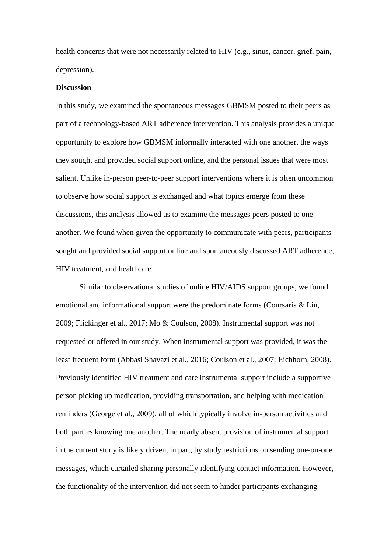health concerns that were not necessarily related to HIV (e.g., sinus, cancer, grief, pain, depression).

#### **Discussion**

In this study, we examined the spontaneous messages GBMSM posted to their peers as part of a technology-based ART adherence intervention. This analysis provides a unique opportunity to explore how GBMSM informally interacted with one another, the ways they sought and provided social support online, and the personal issues that were most salient. Unlike in-person peer-to-peer support interventions where it is often uncommon to observe how social support is exchanged and what topics emerge from these discussions, this analysis allowed us to examine the messages peers posted to one another. We found when given the opportunity to communicate with peers, participants sought and provided social support online and spontaneously discussed ART adherence, HIV treatment, and healthcare.

Similar to observational studies of online HIV/AIDS support groups, we found emotional and informational support were the predominate forms (Coursaris & Liu, 2009; Flickinger et al., 2017; Mo & Coulson, 2008). Instrumental support was not requested or offered in our study. When instrumental support was provided, it was the least frequent form (Abbasi Shavazi et al., 2016; Coulson et al., 2007; Eichhorn, 2008). Previously identified HIV treatment and care instrumental support include a supportive person picking up medication, providing transportation, and helping with medication reminders (George et al., 2009), all of which typically involve in-person activities and both parties knowing one another. The nearly absent provision of instrumental support in the current study is likely driven, in part, by study restrictions on sending one-on-one messages, which curtailed sharing personally identifying contact information. However, the functionality of the intervention did not seem to hinder participants exchanging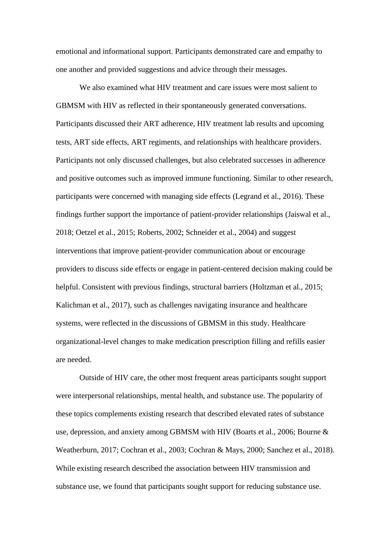emotional and informational support. Participants demonstrated care and empathy to one another and provided suggestions and advice through their messages.

We also examined what HIV treatment and care issues were most salient to GBMSM with HIV as reflected in their spontaneously generated conversations. Participants discussed their ART adherence, HIV treatment lab results and upcoming tests, ART side effects, ART regiments, and relationships with healthcare providers. Participants not only discussed challenges, but also celebrated successes in adherence and positive outcomes such as improved immune functioning. Similar to other research, participants were concerned with managing side effects (Legrand et al., 2016). These findings further support the importance of patient-provider relationships (Jaiswal et al., 2018; Oetzel et al., 2015; Roberts, 2002; Schneider et al., 2004) and suggest interventions that improve patient-provider communication about or encourage providers to discuss side effects or engage in patient-centered decision making could be helpful. Consistent with previous findings, structural barriers (Holtzman et al., 2015; Kalichman et al., 2017), such as challenges navigating insurance and healthcare systems, were reflected in the discussions of GBMSM in this study. Healthcare organizational-level changes to make medication prescription filling and refills easier are needed.

Outside of HIV care, the other most frequent areas participants sought support were interpersonal relationships, mental health, and substance use. The popularity of these topics complements existing research that described elevated rates of substance use, depression, and anxiety among GBMSM with HIV (Boarts et al., 2006; Bourne & Weatherburn, 2017; Cochran et al., 2003; Cochran & Mays, 2000; Sanchez et al., 2018). While existing research described the association between HIV transmission and substance use, we found that participants sought support for reducing substance use.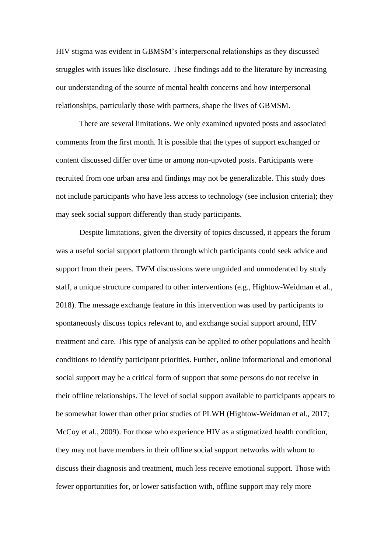HIV stigma was evident in GBMSM's interpersonal relationships as they discussed struggles with issues like disclosure. These findings add to the literature by increasing our understanding of the source of mental health concerns and how interpersonal relationships, particularly those with partners, shape the lives of GBMSM.

There are several limitations. We only examined upvoted posts and associated comments from the first month. It is possible that the types of support exchanged or content discussed differ over time or among non-upvoted posts. Participants were recruited from one urban area and findings may not be generalizable. This study does not include participants who have less access to technology (see inclusion criteria); they may seek social support differently than study participants.

Despite limitations, given the diversity of topics discussed, it appears the forum was a useful social support platform through which participants could seek advice and support from their peers. TWM discussions were unguided and unmoderated by study staff, a unique structure compared to other interventions (e.g., Hightow-Weidman et al., 2018). The message exchange feature in this intervention was used by participants to spontaneously discuss topics relevant to, and exchange social support around, HIV treatment and care. This type of analysis can be applied to other populations and health conditions to identify participant priorities. Further, online informational and emotional social support may be a critical form of support that some persons do not receive in their offline relationships. The level of social support available to participants appears to be somewhat lower than other prior studies of PLWH (Hightow-Weidman et al., 2017; McCoy et al., 2009). For those who experience HIV as a stigmatized health condition, they may not have members in their offline social support networks with whom to discuss their diagnosis and treatment, much less receive emotional support. Those with fewer opportunities for, or lower satisfaction with, offline support may rely more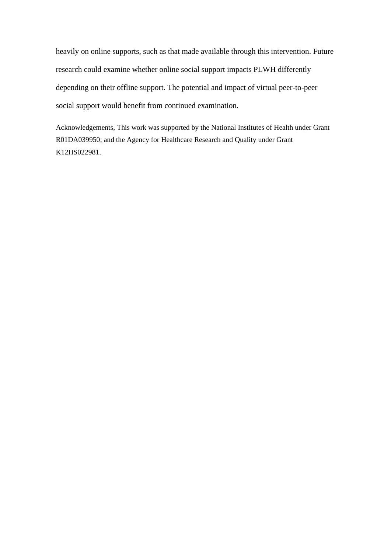heavily on online supports, such as that made available through this intervention. Future research could examine whether online social support impacts PLWH differently depending on their offline support. The potential and impact of virtual peer-to-peer social support would benefit from continued examination.

Acknowledgements, This work was supported by the National Institutes of Health under Grant R01DA039950; and the Agency for Healthcare Research and Quality under Grant K12HS022981.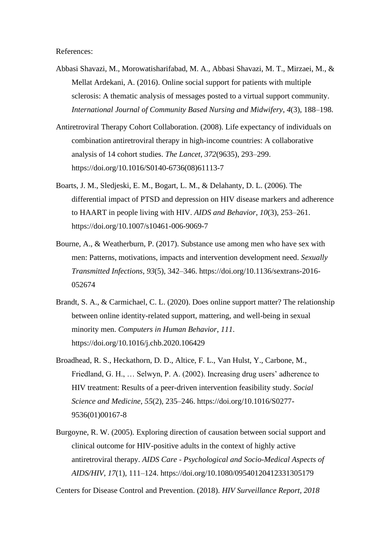References:

- Abbasi Shavazi, M., Morowatisharifabad, M. A., Abbasi Shavazi, M. T., Mirzaei, M., & Mellat Ardekani, A. (2016). Online social support for patients with multiple sclerosis: A thematic analysis of messages posted to a virtual support community. *International Journal of Community Based Nursing and Midwifery*, *4*(3), 188–198.
- Antiretroviral Therapy Cohort Collaboration. (2008). Life expectancy of individuals on combination antiretroviral therapy in high-income countries: A collaborative analysis of 14 cohort studies. *The Lancet*, *372*(9635), 293–299. https://doi.org/10.1016/S0140-6736(08)61113-7
- Boarts, J. M., Sledjeski, E. M., Bogart, L. M., & Delahanty, D. L. (2006). The differential impact of PTSD and depression on HIV disease markers and adherence to HAART in people living with HIV. *AIDS and Behavior*, *10*(3), 253–261. https://doi.org/10.1007/s10461-006-9069-7
- Bourne, A., & Weatherburn, P. (2017). Substance use among men who have sex with men: Patterns, motivations, impacts and intervention development need. *Sexually Transmitted Infections*, *93*(5), 342–346. https://doi.org/10.1136/sextrans-2016- 052674
- Brandt, S. A., & Carmichael, C. L. (2020). Does online support matter? The relationship between online identity-related support, mattering, and well-being in sexual minority men. *Computers in Human Behavior*, *111*. https://doi.org/10.1016/j.chb.2020.106429
- Broadhead, R. S., Heckathorn, D. D., Altice, F. L., Van Hulst, Y., Carbone, M., Friedland, G. H., … Selwyn, P. A. (2002). Increasing drug users' adherence to HIV treatment: Results of a peer-driven intervention feasibility study. *Social Science and Medicine*, *55*(2), 235–246. https://doi.org/10.1016/S0277- 9536(01)00167-8
- Burgoyne, R. W. (2005). Exploring direction of causation between social support and clinical outcome for HIV-positive adults in the context of highly active antiretroviral therapy. *AIDS Care - Psychological and Socio-Medical Aspects of AIDS/HIV*, *17*(1), 111–124. https://doi.org/10.1080/09540120412331305179

Centers for Disease Control and Prevention. (2018). *HIV Surveillance Report, 2018*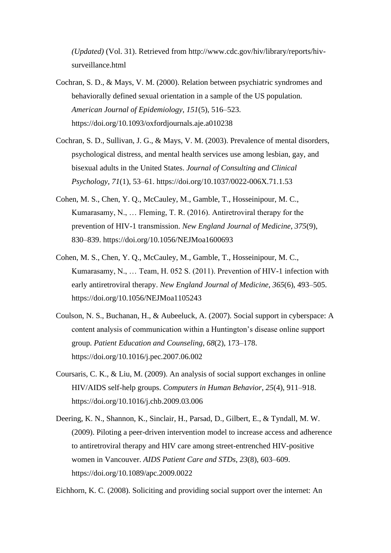*(Updated)* (Vol. 31). Retrieved from http://www.cdc.gov/hiv/library/reports/hivsurveillance.html

- Cochran, S. D., & Mays, V. M. (2000). Relation between psychiatric syndromes and behaviorally defined sexual orientation in a sample of the US population. *American Journal of Epidemiology*, *151*(5), 516–523. https://doi.org/10.1093/oxfordjournals.aje.a010238
- Cochran, S. D., Sullivan, J. G., & Mays, V. M. (2003). Prevalence of mental disorders, psychological distress, and mental health services use among lesbian, gay, and bisexual adults in the United States. *Journal of Consulting and Clinical Psychology*, *71*(1), 53–61. https://doi.org/10.1037/0022-006X.71.1.53
- Cohen, M. S., Chen, Y. Q., McCauley, M., Gamble, T., Hosseinipour, M. C., Kumarasamy, N., … Fleming, T. R. (2016). Antiretroviral therapy for the prevention of HIV-1 transmission. *New England Journal of Medicine*, *375*(9), 830–839. https://doi.org/10.1056/NEJMoa1600693
- Cohen, M. S., Chen, Y. Q., McCauley, M., Gamble, T., Hosseinipour, M. C., Kumarasamy, N., … Team, H. 052 S. (2011). Prevention of HIV-1 infection with early antiretroviral therapy. *New England Journal of Medicine*, *365*(6), 493–505. https://doi.org/10.1056/NEJMoa1105243
- Coulson, N. S., Buchanan, H., & Aubeeluck, A. (2007). Social support in cyberspace: A content analysis of communication within a Huntington's disease online support group. *Patient Education and Counseling*, *68*(2), 173–178. https://doi.org/10.1016/j.pec.2007.06.002
- Coursaris, C. K., & Liu, M. (2009). An analysis of social support exchanges in online HIV/AIDS self-help groups. *Computers in Human Behavior*, *25*(4), 911–918. https://doi.org/10.1016/j.chb.2009.03.006
- Deering, K. N., Shannon, K., Sinclair, H., Parsad, D., Gilbert, E., & Tyndall, M. W. (2009). Piloting a peer-driven intervention model to increase access and adherence to antiretroviral therapy and HIV care among street-entrenched HIV-positive women in Vancouver. *AIDS Patient Care and STDs*, *23*(8), 603–609. https://doi.org/10.1089/apc.2009.0022

Eichhorn, K. C. (2008). Soliciting and providing social support over the internet: An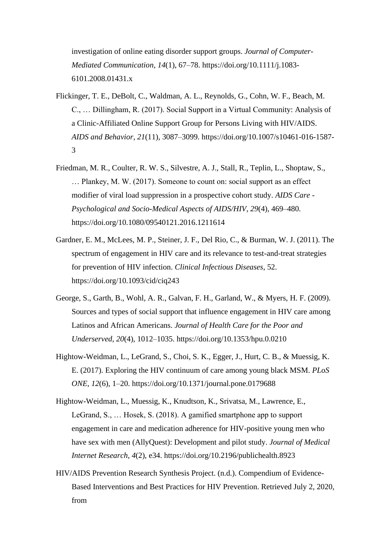investigation of online eating disorder support groups. *Journal of Computer-Mediated Communication*, *14*(1), 67–78. https://doi.org/10.1111/j.1083- 6101.2008.01431.x

- Flickinger, T. E., DeBolt, C., Waldman, A. L., Reynolds, G., Cohn, W. F., Beach, M. C., … Dillingham, R. (2017). Social Support in a Virtual Community: Analysis of a Clinic-Affiliated Online Support Group for Persons Living with HIV/AIDS. *AIDS and Behavior*, *21*(11), 3087–3099. https://doi.org/10.1007/s10461-016-1587- 3
- Friedman, M. R., Coulter, R. W. S., Silvestre, A. J., Stall, R., Teplin, L., Shoptaw, S., … Plankey, M. W. (2017). Someone to count on: social support as an effect modifier of viral load suppression in a prospective cohort study. *AIDS Care - Psychological and Socio-Medical Aspects of AIDS/HIV*, *29*(4), 469–480. https://doi.org/10.1080/09540121.2016.1211614
- Gardner, E. M., McLees, M. P., Steiner, J. F., Del Rio, C., & Burman, W. J. (2011). The spectrum of engagement in HIV care and its relevance to test-and-treat strategies for prevention of HIV infection. *Clinical Infectious Diseases*, 52. https://doi.org/10.1093/cid/ciq243
- George, S., Garth, B., Wohl, A. R., Galvan, F. H., Garland, W., & Myers, H. F. (2009). Sources and types of social support that influence engagement in HIV care among Latinos and African Americans. *Journal of Health Care for the Poor and Underserved*, *20*(4), 1012–1035. https://doi.org/10.1353/hpu.0.0210
- Hightow-Weidman, L., LeGrand, S., Choi, S. K., Egger, J., Hurt, C. B., & Muessig, K. E. (2017). Exploring the HIV continuum of care among young black MSM. *PLoS ONE*, *12*(6), 1–20. https://doi.org/10.1371/journal.pone.0179688
- Hightow-Weidman, L., Muessig, K., Knudtson, K., Srivatsa, M., Lawrence, E., LeGrand, S., … Hosek, S. (2018). A gamified smartphone app to support engagement in care and medication adherence for HIV-positive young men who have sex with men (AllyQuest): Development and pilot study. *Journal of Medical Internet Research*, *4*(2), e34. https://doi.org/10.2196/publichealth.8923
- HIV/AIDS Prevention Research Synthesis Project. (n.d.). Compendium of Evidence-Based Interventions and Best Practices for HIV Prevention. Retrieved July 2, 2020, from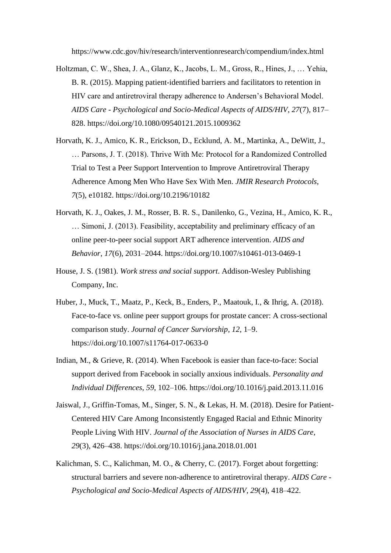https://www.cdc.gov/hiv/research/interventionresearch/compendium/index.html

- Holtzman, C. W., Shea, J. A., Glanz, K., Jacobs, L. M., Gross, R., Hines, J., … Yehia, B. R. (2015). Mapping patient-identified barriers and facilitators to retention in HIV care and antiretroviral therapy adherence to Andersen's Behavioral Model. *AIDS Care - Psychological and Socio-Medical Aspects of AIDS/HIV*, *27*(7), 817– 828. https://doi.org/10.1080/09540121.2015.1009362
- Horvath, K. J., Amico, K. R., Erickson, D., Ecklund, A. M., Martinka, A., DeWitt, J., … Parsons, J. T. (2018). Thrive With Me: Protocol for a Randomized Controlled Trial to Test a Peer Support Intervention to Improve Antiretroviral Therapy Adherence Among Men Who Have Sex With Men. *JMIR Research Protocols*, *7*(5), e10182. https://doi.org/10.2196/10182
- Horvath, K. J., Oakes, J. M., Rosser, B. R. S., Danilenko, G., Vezina, H., Amico, K. R., … Simoni, J. (2013). Feasibility, acceptability and preliminary efficacy of an online peer-to-peer social support ART adherence intervention. *AIDS and Behavior*, *17*(6), 2031–2044. https://doi.org/10.1007/s10461-013-0469-1
- House, J. S. (1981). *Work stress and social support*. Addison-Wesley Publishing Company, Inc.
- Huber, J., Muck, T., Maatz, P., Keck, B., Enders, P., Maatouk, I., & Ihrig, A. (2018). Face-to-face vs. online peer support groups for prostate cancer: A cross-sectional comparison study. *Journal of Cancer Surviorship*, *12*, 1–9. https://doi.org/10.1007/s11764-017-0633-0
- Indian, M., & Grieve, R. (2014). When Facebook is easier than face-to-face: Social support derived from Facebook in socially anxious individuals. *Personality and Individual Differences*, *59*, 102–106. https://doi.org/10.1016/j.paid.2013.11.016
- Jaiswal, J., Griffin-Tomas, M., Singer, S. N., & Lekas, H. M. (2018). Desire for Patient-Centered HIV Care Among Inconsistently Engaged Racial and Ethnic Minority People Living With HIV. *Journal of the Association of Nurses in AIDS Care*, *29*(3), 426–438. https://doi.org/10.1016/j.jana.2018.01.001
- Kalichman, S. C., Kalichman, M. O., & Cherry, C. (2017). Forget about forgetting: structural barriers and severe non-adherence to antiretroviral therapy. *AIDS Care - Psychological and Socio-Medical Aspects of AIDS/HIV*, *29*(4), 418–422.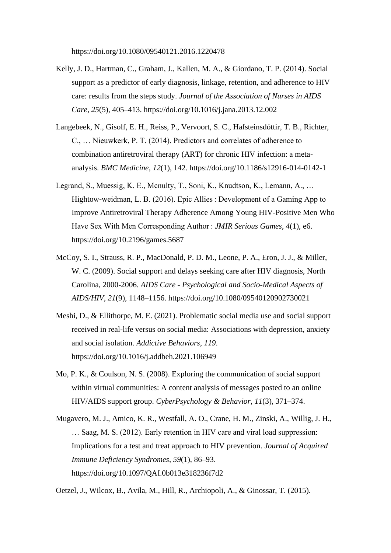https://doi.org/10.1080/09540121.2016.1220478

- Kelly, J. D., Hartman, C., Graham, J., Kallen, M. A., & Giordano, T. P. (2014). Social support as a predictor of early diagnosis, linkage, retention, and adherence to HIV care: results from the steps study. *Journal of the Association of Nurses in AIDS Care*, *25*(5), 405–413. https://doi.org/10.1016/j.jana.2013.12.002
- Langebeek, N., Gisolf, E. H., Reiss, P., Vervoort, S. C., Hafsteinsdóttir, T. B., Richter, C., … Nieuwkerk, P. T. (2014). Predictors and correlates of adherence to combination antiretroviral therapy (ART) for chronic HIV infection: a metaanalysis. *BMC Medicine*, *12*(1), 142. https://doi.org/10.1186/s12916-014-0142-1
- Legrand, S., Muessig, K. E., Mcnulty, T., Soni, K., Knudtson, K., Lemann, A., … Hightow-weidman, L. B. (2016). Epic Allies : Development of a Gaming App to Improve Antiretroviral Therapy Adherence Among Young HIV-Positive Men Who Have Sex With Men Corresponding Author : *JMIR Serious Games*, *4*(1), e6. https://doi.org/10.2196/games.5687
- McCoy, S. I., Strauss, R. P., MacDonald, P. D. M., Leone, P. A., Eron, J. J., & Miller, W. C. (2009). Social support and delays seeking care after HIV diagnosis, North Carolina, 2000-2006. *AIDS Care - Psychological and Socio-Medical Aspects of AIDS/HIV*, *21*(9), 1148–1156. https://doi.org/10.1080/09540120902730021
- Meshi, D., & Ellithorpe, M. E. (2021). Problematic social media use and social support received in real-life versus on social media: Associations with depression, anxiety and social isolation. *Addictive Behaviors*, *119*. https://doi.org/10.1016/j.addbeh.2021.106949
- Mo, P. K., & Coulson, N. S. (2008). Exploring the communication of social support within virtual communities: A content analysis of messages posted to an online HIV/AIDS support group. *CyberPsychology & Behavior*, *11*(3), 371–374.
- Mugavero, M. J., Amico, K. R., Westfall, A. O., Crane, H. M., Zinski, A., Willig, J. H., … Saag, M. S. (2012). Early retention in HIV care and viral load suppression: Implications for a test and treat approach to HIV prevention. *Journal of Acquired Immune Deficiency Syndromes*, *59*(1), 86–93. https://doi.org/10.1097/QAI.0b013e318236f7d2

Oetzel, J., Wilcox, B., Avila, M., Hill, R., Archiopoli, A., & Ginossar, T. (2015).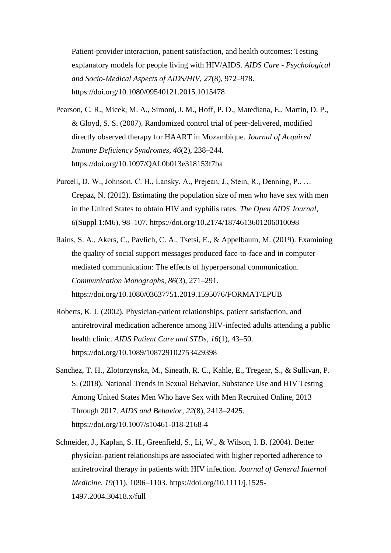Patient-provider interaction, patient satisfaction, and health outcomes: Testing explanatory models for people living with HIV/AIDS. *AIDS Care - Psychological and Socio-Medical Aspects of AIDS/HIV*, *27*(8), 972–978. https://doi.org/10.1080/09540121.2015.1015478

- Pearson, C. R., Micek, M. A., Simoni, J. M., Hoff, P. D., Matediana, E., Martin, D. P., & Gloyd, S. S. (2007). Randomized control trial of peer-delivered, modified directly observed therapy for HAART in Mozambique. *Journal of Acquired Immune Deficiency Syndromes*, *46*(2), 238–244. https://doi.org/10.1097/QAI.0b013e318153f7ba
- Purcell, D. W., Johnson, C. H., Lansky, A., Prejean, J., Stein, R., Denning, P., … Crepaz, N. (2012). Estimating the population size of men who have sex with men in the United States to obtain HIV and syphilis rates. *The Open AIDS Journal*, *6*(Suppl 1:M6), 98–107. https://doi.org/10.2174/1874613601206010098
- Rains, S. A., Akers, C., Pavlich, C. A., Tsetsi, E., & Appelbaum, M. (2019). Examining the quality of social support messages produced face-to-face and in computermediated communication: The effects of hyperpersonal communication. *Communication Monographs*, *86*(3), 271–291. https://doi.org/10.1080/03637751.2019.1595076/FORMAT/EPUB
- Roberts, K. J. (2002). Physician-patient relationships, patient satisfaction, and antiretroviral medication adherence among HIV-infected adults attending a public health clinic. *AIDS Patient Care and STDs*, *16*(1), 43–50. https://doi.org/10.1089/108729102753429398
- Sanchez, T. H., Zlotorzynska, M., Sineath, R. C., Kahle, E., Tregear, S., & Sullivan, P. S. (2018). National Trends in Sexual Behavior, Substance Use and HIV Testing Among United States Men Who have Sex with Men Recruited Online, 2013 Through 2017. *AIDS and Behavior*, *22*(8), 2413–2425. https://doi.org/10.1007/s10461-018-2168-4
- Schneider, J., Kaplan, S. H., Greenfield, S., Li, W., & Wilson, I. B. (2004). Better physician‐patient relationships are associated with higher reported adherence to antiretroviral therapy in patients with HIV infection. *Journal of General Internal Medicine*, *19*(11), 1096–1103. https://doi.org/10.1111/j.1525- 1497.2004.30418.x/full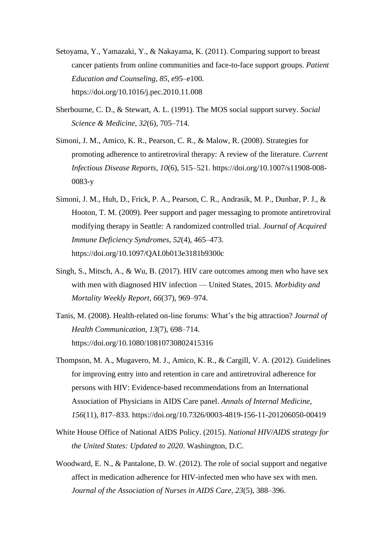- Setoyama, Y., Yamazaki, Y., & Nakayama, K. (2011). Comparing support to breast cancer patients from online communities and face-to-face support groups. *Patient Education and Counseling*, *85*, e95–e100. https://doi.org/10.1016/j.pec.2010.11.008
- Sherbourne, C. D., & Stewart, A. L. (1991). The MOS social support survey. *Social Science & Medicine*, *32*(6), 705–714.
- Simoni, J. M., Amico, K. R., Pearson, C. R., & Malow, R. (2008). Strategies for promoting adherence to antiretroviral therapy: A review of the literature. *Current Infectious Disease Reports*, *10*(6), 515–521. https://doi.org/10.1007/s11908-008- 0083-y
- Simoni, J. M., Huh, D., Frick, P. A., Pearson, C. R., Andrasik, M. P., Dunbar, P. J., & Hooton, T. M. (2009). Peer support and pager messaging to promote antiretroviral modifying therapy in Seattle: A randomized controlled trial. *Journal of Acquired Immune Deficiency Syndromes*, *52*(4), 465–473. https://doi.org/10.1097/QAI.0b013e3181b9300c
- Singh, S., Mitsch, A., & Wu, B. (2017). HIV care outcomes among men who have sex with men with diagnosed HIV infection — United States, 2015. *Morbidity and Mortality Weekly Report*, *66*(37), 969–974.
- Tanis, M. (2008). Health-related on-line forums: What's the big attraction? *Journal of Health Communication*, *13*(7), 698–714. https://doi.org/10.1080/10810730802415316
- Thompson, M. A., Mugavero, M. J., Amico, K. R., & Cargill, V. A. (2012). Guidelines for improving entry into and retention in care and antiretroviral adherence for persons with HIV: Evidence-based recommendations from an International Association of Physicians in AIDS Care panel. *Annals of Internal Medicine*, *156*(11), 817–833. https://doi.org/10.7326/0003-4819-156-11-201206050-00419
- White House Office of National AIDS Policy. (2015). *National HIV/AIDS strategy for the United States: Updated to 2020*. Washington, D.C.
- Woodward, E. N., & Pantalone, D. W. (2012). The role of social support and negative affect in medication adherence for HIV-infected men who have sex with men. *Journal of the Association of Nurses in AIDS Care*, *23*(5), 388–396.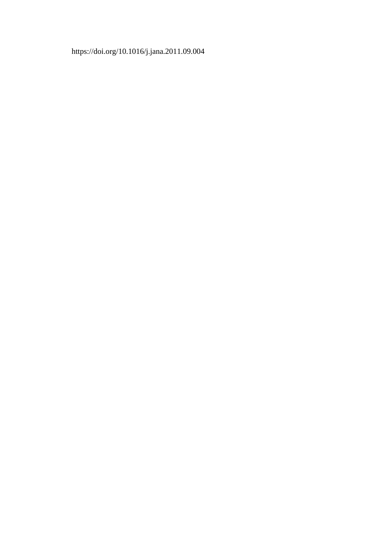### https://doi.org/10.1016/j.jana.2011.09.004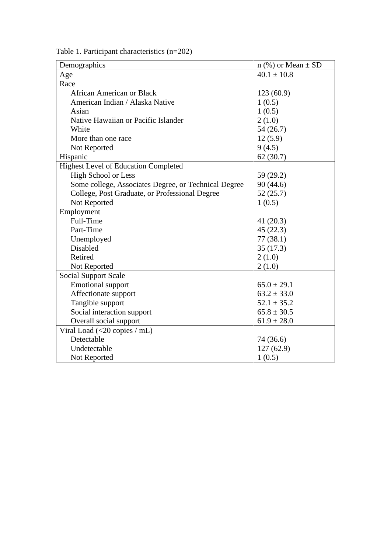| Demographics                                         | $n$ (%) or Mean $\pm$ SD |  |  |
|------------------------------------------------------|--------------------------|--|--|
| Age                                                  | $40.1 \pm 10.8$          |  |  |
| Race                                                 |                          |  |  |
| <b>African American or Black</b>                     | 123(60.9)                |  |  |
| American Indian / Alaska Native                      | 1(0.5)                   |  |  |
| Asian                                                | 1(0.5)                   |  |  |
| Native Hawaiian or Pacific Islander                  | 2(1.0)                   |  |  |
| White                                                | 54 (26.7)                |  |  |
| More than one race                                   | 12(5.9)                  |  |  |
| Not Reported                                         | 9(4.5)                   |  |  |
| Hispanic                                             | 62(30.7)                 |  |  |
| <b>Highest Level of Education Completed</b>          |                          |  |  |
| <b>High School or Less</b>                           | 59 (29.2)                |  |  |
| Some college, Associates Degree, or Technical Degree | 90(44.6)                 |  |  |
| College, Post Graduate, or Professional Degree       | 52(25.7)                 |  |  |
| Not Reported                                         | 1(0.5)                   |  |  |
| Employment                                           |                          |  |  |
| Full-Time                                            | 41 $(20.3)$              |  |  |
| Part-Time                                            | 45(22.3)                 |  |  |
| Unemployed                                           | 77(38.1)                 |  |  |
| Disabled                                             | 35(17.3)                 |  |  |
| Retired                                              | 2(1.0)                   |  |  |
| Not Reported                                         | 2(1.0)                   |  |  |
| <b>Social Support Scale</b>                          |                          |  |  |
| <b>Emotional support</b>                             | $65.0 \pm 29.1$          |  |  |
| Affectionate support                                 | $63.2 \pm 33.0$          |  |  |
| Tangible support                                     | $52.1 \pm 35.2$          |  |  |
| Social interaction support                           | $65.8 \pm 30.5$          |  |  |
| Overall social support                               | $61.9 \pm 28.0$          |  |  |
| Viral Load $(<20$ copies / mL)                       |                          |  |  |
| Detectable                                           | 74 (36.6)                |  |  |
| Undetectable                                         | 127(62.9)                |  |  |
| Not Reported                                         | 1(0.5)                   |  |  |

Table 1. Participant characteristics (n=202)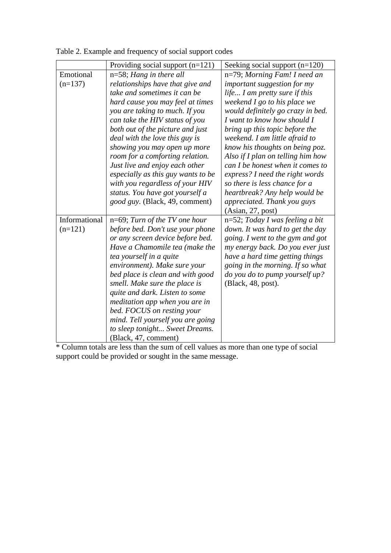|               | Providing social support $(n=121)$ | Seeking social support $(n=120)$   |
|---------------|------------------------------------|------------------------------------|
| Emotional     | $n=58$ ; Hang in there all         | n=79; Morning Fam! I need an       |
| $(n=137)$     | relationships have that give and   | <i>important suggestion for my</i> |
|               | take and sometimes it can be       | life I am pretty sure if this      |
|               | hard cause you may feel at times   | weekend I go to his place we       |
|               | you are taking to much. If you     | would definitely go crazy in bed.  |
|               | can take the HIV status of you     | I want to know how should I        |
|               | both out of the picture and just   | bring up this topic before the     |
|               | deal with the love this guy is     | weekend. I am little afraid to     |
|               | showing you may open up more       | know his thoughts on being poz.    |
|               | room for a comforting relation.    | Also if I plan on telling him how  |
|               | Just live and enjoy each other     | can I be honest when it comes to   |
|               | especially as this guy wants to be | express? I need the right words    |
|               | with you regardless of your HIV    | so there is less chance for a      |
|               | status. You have got yourself a    | heartbreak? Any help would be      |
|               | good guy. (Black, 49, comment)     | appreciated. Thank you guys        |
|               |                                    | (Asian, 27, post)                  |
| Informational | $n=69$ ; Turn of the TV one hour   | $n=52$ ; Today I was feeling a bit |
| $(n=121)$     | before bed. Don't use your phone   | down. It was hard to get the day   |
|               | or any screen device before bed.   | going. I went to the gym and got   |
|               | Have a Chamomile tea (make the     | my energy back. Do you ever just   |
|               | tea yourself in a quite            | have a hard time getting things    |
|               | environment). Make sure your       | going in the morning. If so what   |
|               | bed place is clean and with good   | do you do to pump yourself up?     |
|               | smell. Make sure the place is      | (Black, 48, post).                 |
|               | quite and dark. Listen to some     |                                    |
|               | meditation app when you are in     |                                    |
|               | bed. FOCUS on resting your         |                                    |
|               | mind. Tell yourself you are going  |                                    |
|               | to sleep tonight Sweet Dreams.     |                                    |
|               | (Black, 47, comment)               |                                    |

Table 2. Example and frequency of social support codes

\* Column totals are less than the sum of cell values as more than one type of social support could be provided or sought in the same message.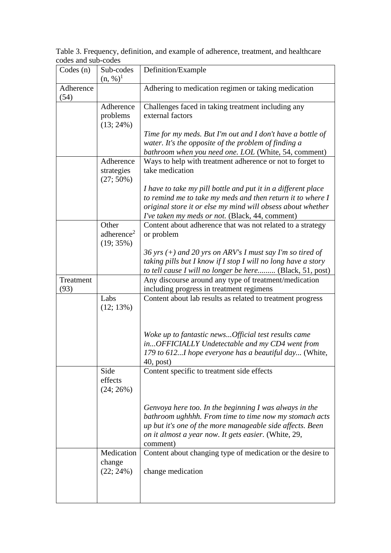Table 3. Frequency, definition, and example of adherence, treatment, and healthcare codes and sub-codes

| Codes(n)          | Sub-codes<br>$(n, %)^1$                | Definition/Example                                                                                                        |
|-------------------|----------------------------------------|---------------------------------------------------------------------------------------------------------------------------|
| Adherence<br>(54) |                                        | Adhering to medication regimen or taking medication                                                                       |
|                   | Adherence                              | Challenges faced in taking treatment including any                                                                        |
|                   | problems<br>$(13; 24\%)$               | external factors                                                                                                          |
|                   |                                        | Time for my meds. But I'm out and I don't have a bottle of                                                                |
|                   |                                        | water. It's the opposite of the problem of finding a                                                                      |
|                   | Adherence                              | bathroom when you need one. LOL (White, 54, comment)<br>Ways to help with treatment adherence or not to forget to         |
|                   | strategies<br>$(27; 50\%)$             | take medication                                                                                                           |
|                   |                                        | I have to take my pill bottle and put it in a different place                                                             |
|                   |                                        | to remind me to take my meds and then return it to where I<br>original store it or else my mind will obsess about whether |
|                   |                                        | I've taken my meds or not. (Black, 44, comment)                                                                           |
|                   | Other                                  | Content about adherence that was not related to a strategy                                                                |
|                   | adherence <sup>2</sup><br>$(19; 35\%)$ | or problem                                                                                                                |
|                   |                                        | 36 yrs $(+)$ and 20 yrs on ARV's I must say I'm so tired of                                                               |
|                   |                                        | taking pills but I know if I stop I will no long have a story<br>to tell cause I will no longer be here (Black, 51, post) |
| Treatment         |                                        | Any discourse around any type of treatment/medication                                                                     |
| (93)              |                                        | including progress in treatment regimens                                                                                  |
|                   | Labs<br>$(12; 13\%)$                   | Content about lab results as related to treatment progress                                                                |
|                   |                                        |                                                                                                                           |
|                   |                                        | Woke up to fantastic newsOfficial test results came                                                                       |
|                   |                                        | inOFFICIALLY Undetectable and my CD4 went from<br>179 to 612I hope everyone has a beautiful day (White,                   |
|                   |                                        | $40$ , post)                                                                                                              |
|                   | Side<br>effects<br>$(24; 26\%)$        | Content specific to treatment side effects                                                                                |
|                   |                                        | Genvoya here too. In the beginning I was always in the                                                                    |
|                   |                                        | bathroom ughhhh. From time to time now my stomach acts                                                                    |
|                   |                                        | up but it's one of the more manageable side affects. Been<br>on it almost a year now. It gets easier. (White, 29,         |
|                   |                                        | comment)                                                                                                                  |
|                   | Medication<br>change                   | Content about changing type of medication or the desire to                                                                |
|                   | $(22; 24\%)$                           | change medication                                                                                                         |
|                   |                                        |                                                                                                                           |